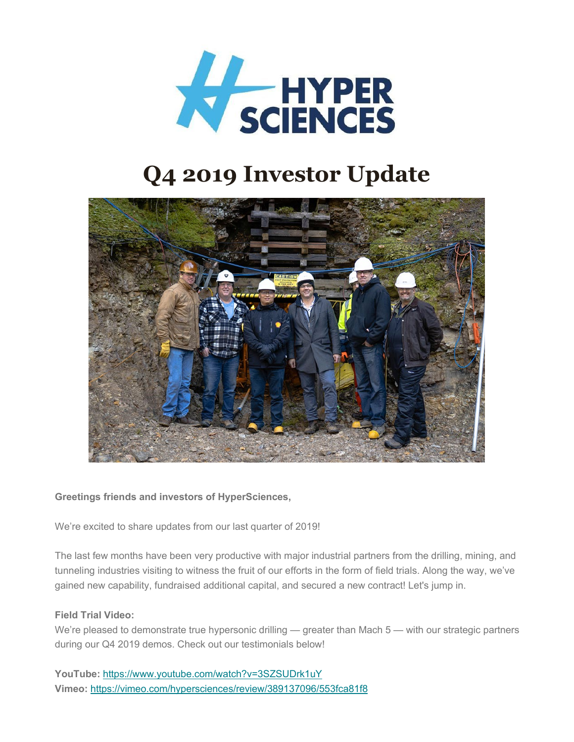

# **Q4 2019 Investor Update**



## **Greetings friends and investors of HyperSciences,**

We're excited to share updates from our last quarter of 2019!

The last few months have been very productive with major industrial partners from the drilling, mining, and tunneling industries visiting to witness the fruit of our efforts in the form of field trials. Along the way, we've gained new capability, fundraised additional capital, and secured a new contract! Let's jump in.

#### **Field Trial Video:**

We're pleased to demonstrate true hypersonic drilling — greater than Mach 5 — with our strategic partners during our Q4 2019 demos. Check out our testimonials below!

**YouTube:** <https://www.youtube.com/watch?v=3SZSUDrk1uY> **Vimeo:** <https://vimeo.com/hypersciences/review/389137096/553fca81f8>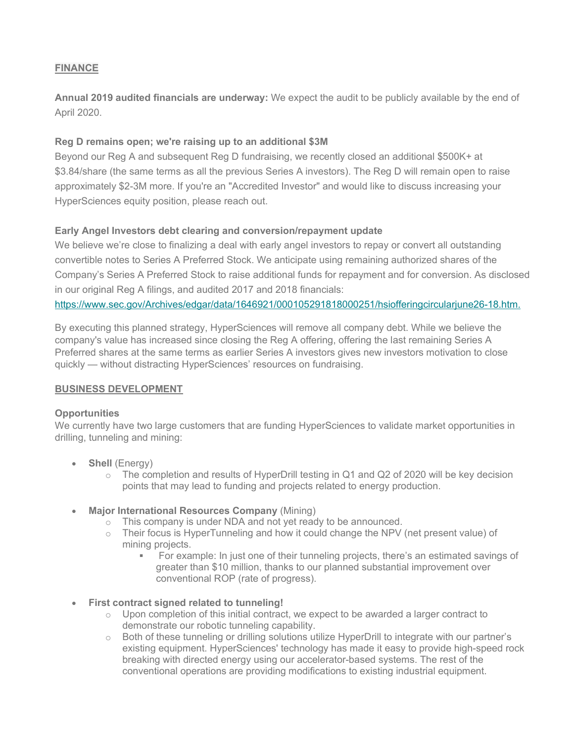### **FINANCE**

**Annual 2019 audited financials are underway:** We expect the audit to be publicly available by the end of April 2020.

#### **Reg D remains open; we're raising up to an additional \$3M**

Beyond our Reg A and subsequent Reg D fundraising, we recently closed an additional \$500K+ at \$3.84/share (the same terms as all the previous Series A investors). The Reg D will remain open to raise approximately \$2-3M more. If you're an "Accredited Investor" and would like to discuss increasing your HyperSciences equity position, please reach out.

### **Early Angel Investors debt clearing and conversion/repayment update**

We believe we're close to finalizing a deal with early angel investors to repay or convert all outstanding convertible notes to Series A Preferred Stock. We anticipate using remaining authorized shares of the Company's Series A Preferred Stock to raise additional funds for repayment and for conversion. As disclosed in our original Reg A filings, and audited 2017 and 2018 financials:

[https://www.sec.gov/Archives/edgar/data/1646921/000105291818000251/hsiofferingcircularjune26-18.htm.](https://vimeo.com/hypersciences/review/389137096/553fca81f8)

By executing this planned strategy, HyperSciences will remove all company debt. While we believe the company's value has increased since closing the Reg A offering, offering the last remaining Series A Preferred shares at the same terms as earlier Series A investors gives new investors motivation to close quickly — without distracting HyperSciences' resources on fundraising.

#### **BUSINESS DEVELOPMENT**

#### **Opportunities**

We currently have two large customers that are funding HyperSciences to validate market opportunities in drilling, tunneling and mining:

- **Shell** (Energy)
	- $\circ$  The completion and results of HyperDrill testing in Q1 and Q2 of 2020 will be key decision points that may lead to funding and projects related to energy production.
- **Major International Resources Company** (Mining)
	- o This company is under NDA and not yet ready to be announced.
	- $\circ$  Their focus is HyperTunneling and how it could change the NPV (net present value) of mining projects.
		- For example: In just one of their tunneling projects, there's an estimated savings of greater than \$10 million, thanks to our planned substantial improvement over conventional ROP (rate of progress).
- **First contract signed related to tunneling!**
	- $\circ$  Upon completion of this initial contract, we expect to be awarded a larger contract to demonstrate our robotic tunneling capability.
	- o Both of these tunneling or drilling solutions utilize HyperDrill to integrate with our partner's existing equipment. HyperSciences' technology has made it easy to provide high-speed rock breaking with directed energy using our accelerator-based systems. The rest of the conventional operations are providing modifications to existing industrial equipment.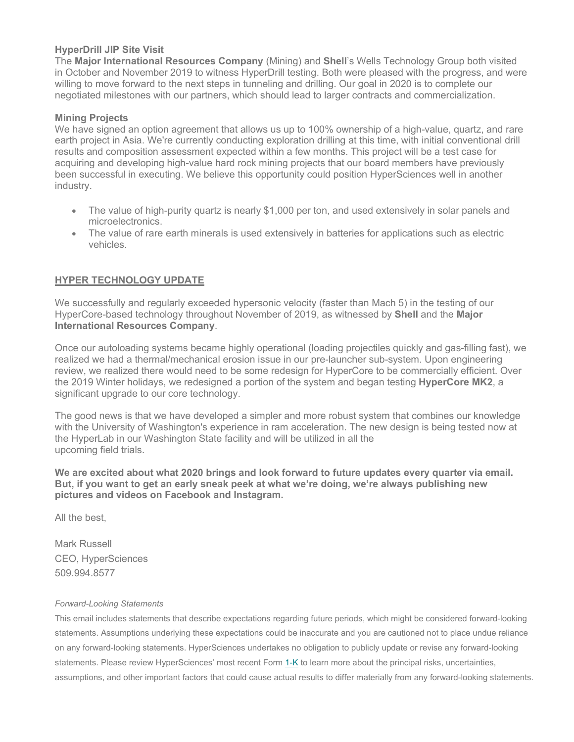#### **HyperDrill JIP Site Visit**

The **Major International Resources Company** (Mining) and **Shell**'s Wells Technology Group both visited in October and November 2019 to witness HyperDrill testing. Both were pleased with the progress, and were willing to move forward to the next steps in tunneling and drilling. Our goal in 2020 is to complete our negotiated milestones with our partners, which should lead to larger contracts and commercialization.

#### **Mining Projects**

We have signed an option agreement that allows us up to 100% ownership of a high-value, quartz, and rare earth project in Asia. We're currently conducting exploration drilling at this time, with initial conventional drill results and composition assessment expected within a few months. This project will be a test case for acquiring and developing high-value hard rock mining projects that our board members have previously been successful in executing. We believe this opportunity could position HyperSciences well in another industry.

- The value of high-purity quartz is nearly \$1,000 per ton, and used extensively in solar panels and microelectronics.
- The value of rare earth minerals is used extensively in batteries for applications such as electric vehicles.

#### **HYPER TECHNOLOGY UPDATE**

We successfully and regularly exceeded hypersonic velocity (faster than Mach 5) in the testing of our HyperCore-based technology throughout November of 2019, as witnessed by **Shell** and the **Major International Resources Company**.

Once our autoloading systems became highly operational (loading projectiles quickly and gas-filling fast), we realized we had a thermal/mechanical erosion issue in our pre-launcher sub-system. Upon engineering review, we realized there would need to be some redesign for HyperCore to be commercially efficient. Over the 2019 Winter holidays, we redesigned a portion of the system and began testing **HyperCore MK2**, a significant upgrade to our core technology.

The good news is that we have developed a simpler and more robust system that combines our knowledge with the University of Washington's experience in ram acceleration. The new design is being tested now at the HyperLab in our Washington State facility and will be utilized in all the upcoming field trials.

**We are excited about what 2020 brings and look forward to future updates every quarter via email. But, if you want to get an early sneak peek at what we're doing, we're always publishing new pictures and videos on Facebook and Instagram.**

All the best,

Mark Russell CEO, HyperSciences 509.994.8577

#### *Forward-Looking Statements*

This email includes statements that describe expectations regarding future periods, which might be considered forward-looking statements. Assumptions underlying these expectations could be inaccurate and you are cautioned not to place undue reliance on any forward-looking statements. HyperSciences undertakes no obligation to publicly update or revise any forward-looking statements. Please review HyperSciences' most recent Form [1-K](https://www.sec.gov/Archives/edgar/data/1646921/000105291819000275/hypersciences1sasep30-19v2.htm) to learn more about the principal risks, uncertainties, assumptions, and other important factors that could cause actual results to differ materially from any forward-looking statements.